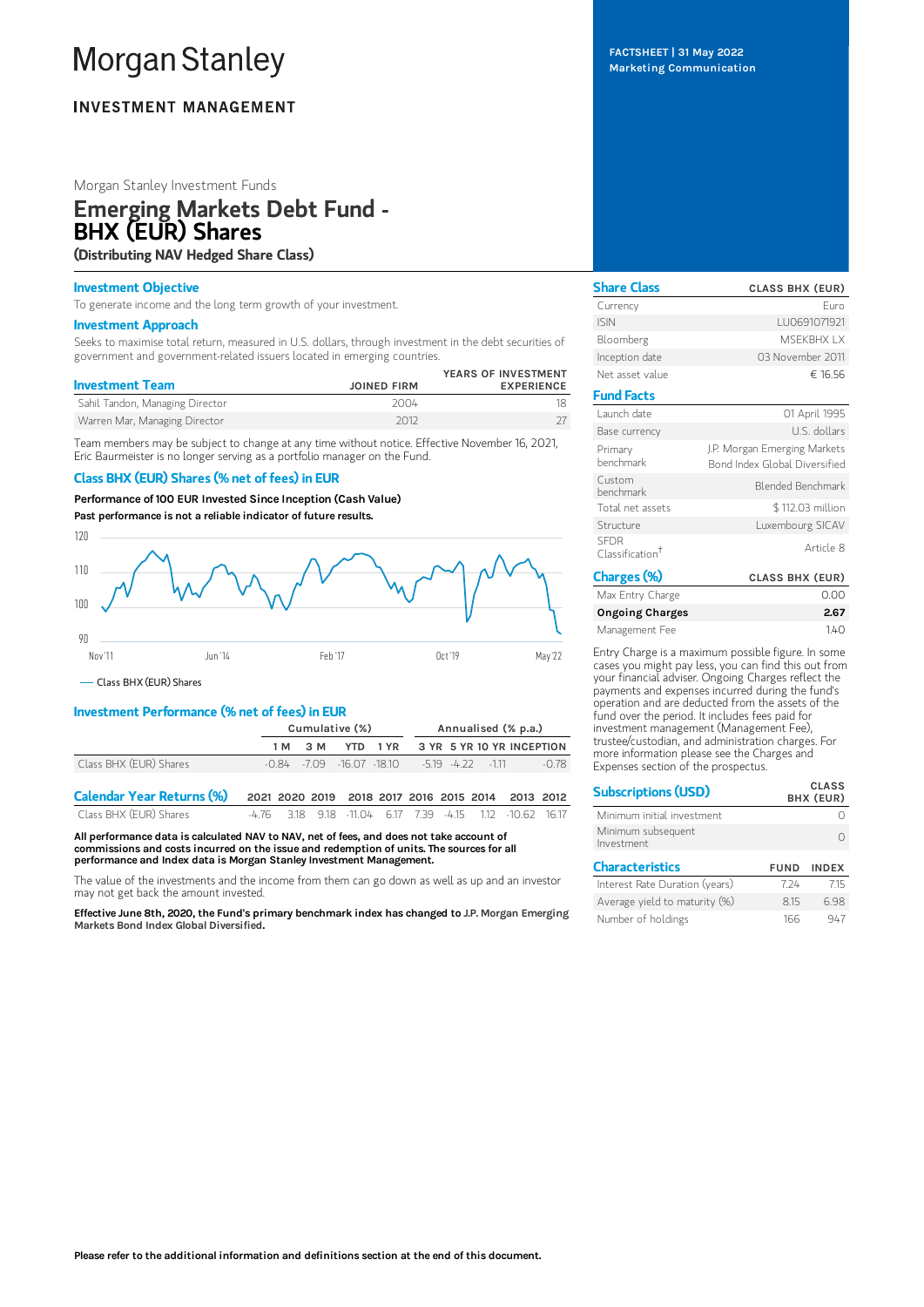# **Morgan Stanley**

# **INVESTMENT MANAGEMENT**

# Morgan Stanley Investment Funds

# Emerging Markets Debt Fund - BHX (EUR) Shares

(Distributing NAV Hedged Share Class)

# Investment Objective

To generate income and the long term growth of your investment.

## Investment Approach

Seeks to maximise total return, measured in U.S. dollars, through investment in the debt securities of government and government-related issuers located in emerging countries.

| <b>JOINED FIRM</b> | YEARS OF INVESTMENT<br><b>EXPERIENCE</b> |
|--------------------|------------------------------------------|
| 2004               |                                          |
| 2012               |                                          |
|                    |                                          |

Team members may be subject to change at any time without notice. Effective November 16, 2021, Eric Baurmeister is no longer serving as a portfolio manager on the Fund.

# Class BHX (EUR) Shares (% net of fees) in EUR

Performance of 100 EUR Invested Since Inception (Cash Value)

Past performance is not a reliable indicator of future results.



Class BHX (EUR) Shares

# Investment Performance (% net of fees) in EUR

|                                  | Cumulative (%) |         |  | Annualised (% p.a.) |                                                           |  |  |                                                   |
|----------------------------------|----------------|---------|--|---------------------|-----------------------------------------------------------|--|--|---------------------------------------------------|
|                                  |                | 1 M 3 M |  |                     |                                                           |  |  | YTD 1 YR 3 YR 5 YR 10 YR INCEPTION                |
| Class BHX (EUR) Shares           |                |         |  |                     | $-0.84$ $-7.09$ $-16.07$ $-18.10$ $-5.19$ $-4.22$ $-1.11$ |  |  | $-0.78$                                           |
| <b>Calendar Year Returns (%)</b> |                |         |  |                     |                                                           |  |  | 2021 2020 2019 2018 2017 2016 2015 2014 2013 2012 |

| Class BHX (EUR) Shares |  |  |  |  | -4.76 3.18 9.18 -11.04 6.17 7.39 -4.15 1.12 -10.62 16.17 |  |
|------------------------|--|--|--|--|----------------------------------------------------------|--|
|                        |  |  |  |  |                                                          |  |

All performance data is calculated NAV to NAV, net of fees, and does not take account of commissions and costs incurred on the issue and redemption of units. The sources for all performance and Index data is Morgan Stanley Investment Management.

The value of the investments and the income from them can go down as well as up and an investor may not get back the amount invested.

Effective June 8th, 2020, the Fund's primary benchmark index has changed to J.P. Morgan Emerging Markets Bond Index Global Diversified.

FACTSHEET | 31 May 2022 Marketing Communication

| <b>Share Class</b>                         | <b>CLASS BHX (EUR)</b>                                        |
|--------------------------------------------|---------------------------------------------------------------|
| Currency                                   | Furo                                                          |
| <b>ISIN</b>                                | LU0691071921                                                  |
| Bloomberg                                  | MSFKRHX I X                                                   |
| Inception date                             | 03 November 2011                                              |
| Net asset value                            | € 16.56                                                       |
| <b>Fund Facts</b>                          |                                                               |
| Launch date                                | 01 April 1995                                                 |
| Base currency                              | U.S. dollars                                                  |
| Primary<br>henchmark                       | J.P. Morgan Emerging Markets<br>Bond Index Global Diversified |
| Custom<br>henchmark                        | Blended Benchmark                                             |
| Total net assets                           | \$112.03 million                                              |
| Structure                                  | Luxembourg SICAV                                              |
| <b>SFDR</b><br>Classification <sup>†</sup> | Article 8                                                     |
| Charges (%)                                | <b>CLASS BHX (EUR)</b>                                        |

| .narges (%)            | CLASS BHX (EUR) |
|------------------------|-----------------|
| Max Entry Charge       | 0.00            |
| <b>Ongoing Charges</b> | 2.67            |
| Management Fee         | 140             |
|                        |                 |

Entry Charge is a maximum possible figure. In some cases you might pay less, you can find this out from your financial adviser. Ongoing Charges reflect the payments and expenses incurred during the fund's operation and are deducted from the assets of the fund over the period. It includes fees paid for investment management (Management Fee), trustee/custodian, and administration charges. For more information please see the Charges and Expenses section of the prospectus.

| <b>Subscriptions (USD)</b>       |             | <b>CLASS</b><br>BHX (EUR) |
|----------------------------------|-------------|---------------------------|
| Minimum initial investment       |             |                           |
| Minimum subsequent<br>Investment |             |                           |
| <b>Characteristics</b>           | <b>FUND</b> | <b>INDEX</b>              |
| Interest Rate Duration (years)   | 7 24        | 715                       |
| Average yield to maturity (%)    | 8.15        | 698                       |
| Number of holdings               | 166         | 947                       |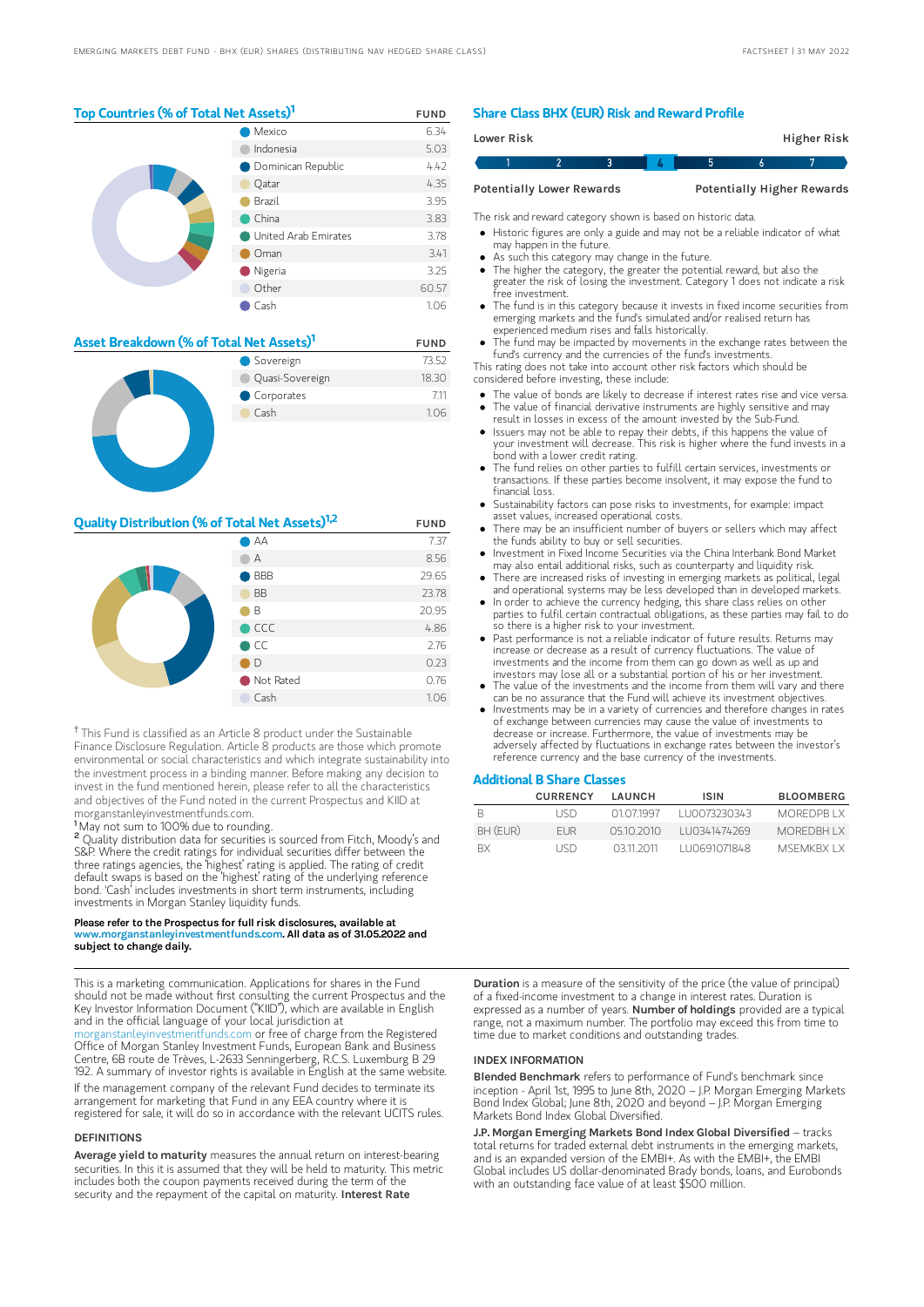### Top Countries (% of Total Net Assets)<sup>1</sup> FUND

|  | Mexico                      | 6.34  |
|--|-----------------------------|-------|
|  | Indonesia                   | 5.03  |
|  | <b>O</b> Dominican Republic | 4.42  |
|  | Qatar                       | 4.35  |
|  | Brazil                      | 3.95  |
|  | China                       | 3.83  |
|  | United Arab Emirates        | 3.78  |
|  | Oman                        | 3.41  |
|  | Nigeria                     | 3.25  |
|  | Other                       | 60.57 |
|  | Cash                        | 1.06  |

| Asset Breakdown (% of Total Net Assets) <sup>1</sup> | <b>FUND</b>     |       |
|------------------------------------------------------|-----------------|-------|
|                                                      | Sovereign       | 73.52 |
|                                                      | Quasi-Sovereign | 18.30 |
|                                                      | Corporates      | 7.11  |
|                                                      | Cash            | 1.06  |
|                                                      |                 |       |

# **Quality Distribution (% of Total Net Assets)**<sup>1,2</sup> FUND

|  | $\bigcirc$ AA                   | 7.37  |
|--|---------------------------------|-------|
|  | А                               | 8.56  |
|  | <b>BBB</b><br><b>CONTRACTOR</b> | 29.65 |
|  | <b>BB</b>                       | 23.78 |
|  | B                               | 20.95 |
|  | $\bullet$ CCC                   | 4.86  |
|  | $\bullet$ CC                    | 2.76  |
|  | D)                              | 0.23  |
|  | Not Rated                       | 0.76  |
|  | Cash                            | 1.06  |

<sup>†</sup> This Fund is classified as an Article 8 product under the Sustainable Finance Disclosure Regulation. Article 8 products are those which promote environmental or social characteristics and which integrate sustainability into the investment process in a binding manner. Before making any decision to invest in the fund mentioned herein, please refer to all the characteristics and objectives of the Fund noted in the current Prospectus and KIID at morganstanleyinvestmentfunds.com.

<sup>1</sup>May not sum to 100% due to rounding.

<sup>2</sup> Quality distribution data for securities is sourced from Fitch, Moody's and S&P. Where the credit ratings for individual securities differ between the three ratings agencies, the 'highest' rating is applied. The rating of credit default swaps is based on the 'highest' rating of the underlying reference bond. 'Cash' includes investments in short term instruments, including investments in Morgan Stanley liquidity funds.

#### Please refer to the Prospectus for full risk disclosures, available at www.morganstanleyinvestmentfunds.com. All data as of 31.05.2022 and subject to change daily.

This is a marketing communication. Applications for shares in the Fund should not be made without first consulting the current Prospectus and the Key Investor Information Document ("KIID"), which are available in English and in the official language of your local jurisdiction at

[morganstanleyinvestmentfunds.com](https://www.morganstanley.com/im/msinvf/index.html) or free of charge from the Registered Office of Morgan Stanley Investment Funds, European Bank and Business Centre, 6B route de Trèves, L-2633 Senningerberg, R.C.S. Luxemburg B 29 192. A summary of investor rights is available in English at the same website.

If the management company of the relevant Fund decides to terminate its arrangement for marketing that Fund in any EEA country where it is registered for sale, it will do so in accordance with the relevant UCITS rules.

#### DEFINITIONS

Average yield to maturity measures the annual return on interest-bearing securities. In this it is assumed that they will be held to maturity. This metric includes both the coupon payments received during the term of the<br>security and the repayment of the capital on maturity. **Interest Rate** 

### Share Class BHX (EUR) Risk and Reward Profile

| <b>Lower Risk</b> |                                  |  |  | Higher Risk                       |  |
|-------------------|----------------------------------|--|--|-----------------------------------|--|
|                   |                                  |  |  |                                   |  |
|                   | <b>Potentially Lower Rewards</b> |  |  | <b>Potentially Higher Rewards</b> |  |

The risk and reward category shown is based on historic data.

Historic figures are only a guide and may not be a reliable indicator of what may happen in the future.

- As such this category may change in the future.
- The higher the category, the greater the potential reward, but also the greater the risk of losing the investment. Category 1 does not indicate a risk free investment.
- The fund is in this category because it invests in fixed income securities from emerging markets and the fund's simulated and/or realised return has experienced medium rises and falls historically.
- The fund may be impacted by movements in the exchange rates between the fund's currency and the currencies of the fund's investments.

This rating does not take into account other risk factors which should be considered before investing, these include:

- The value of bonds are likely to decrease if interest rates rise and vice versa.
- The value of financial derivative instruments are highly sensitive and may result in losses in excess of the amount invested by the Sub-Fund. Issuers may not be able to repay their debts, if this happens the value of
- your investment will decrease. This risk is higher where the fund invests in a bond with a lower credit rating. The fund relies on other parties to fulfill certain services, investments or
- transactions. If these parties become insolvent, it may expose the fund to financial loss.
- Sustainability factors can pose risks to investments, for example: impact asset values, increased operational costs.
- There may be an insufficient number of buyers or sellers which may affect the funds ability to buy or sell securities.  $\bullet$
- Investment in Fixed Income Securities via the China Interbank Bond Market may also entail additional risks, such as counterparty and liquidity risk.
- There are increased risks of investing in emerging markets as political, legal and operational systems may be less developed than in developed markets. In order to achieve the currency hedging, this share class relies on other
- parties to fulfil certain contractual obligations, as these parties may fail to do so there is a higher risk to your investment.
- Past performance is not a reliable indicator of future results. Returns may increase or decrease as a result of currency fluctuations. The value of investments and the income from them can go down as well as up and investors may lose all or a substantial portion of his or her investment.
- The value of the investments and the income from them will vary and there can be no assurance that the Fund will achieve its investment objectives.
- Investments may be in a variety of currencies and therefore changes in rates of exchange between currencies may cause the value of investments to decrease or increase. Furthermore, the value of investments may be adversely affected by fluctuations in exchange rates between the investor's reference currency and the base currency of the investments.

#### Additional B Share Classes

|           | <b>CURRENCY</b> | LAUNCH     | <b>ISIN</b>   | <b>BLOOMBERG</b> |
|-----------|-----------------|------------|---------------|------------------|
| R         | <b>IISD</b>     | 01 07 1997 | 1110073230343 | MOREDPR LX       |
| BH (EUR)  | FI JR           | 05102010   | 110341474269  | MOREDRH I X      |
| <b>RX</b> | <b>IISD</b>     | 0311 2011  | LU0691071848  | MSEMKRX I X      |

Duration is a measure of the sensitivity of the price (the value of principal) of a fixed-income investment to a change in interest rates. Duration is expressed as a number of years. Number of holdings provided are a typical range, not a maximum number. The portfolio may exceed this from time to time due to market conditions and outstanding trades.

#### INDEX INFORMATION

Blended Benchmark refers to performance of Fund's benchmark since inception - April 1st, 1995 to June 8th, 2020 – J.P. Morgan Emerging Markets Bond Index Global; June 8th, 2020 and beyond – J.P. Morgan Emerging Markets Bond Index Global Diversified.

J.P. Morgan Emerging Markets Bond Index Global Diversified - tracks total returns for traded external debt instruments in the emerging markets, and is an expanded version of the EMBI+. As with the EMBI+, the EMBI Global includes US dollar-denominated Brady bonds, loans, and Eurobonds with an outstanding face value of at least \$500 million.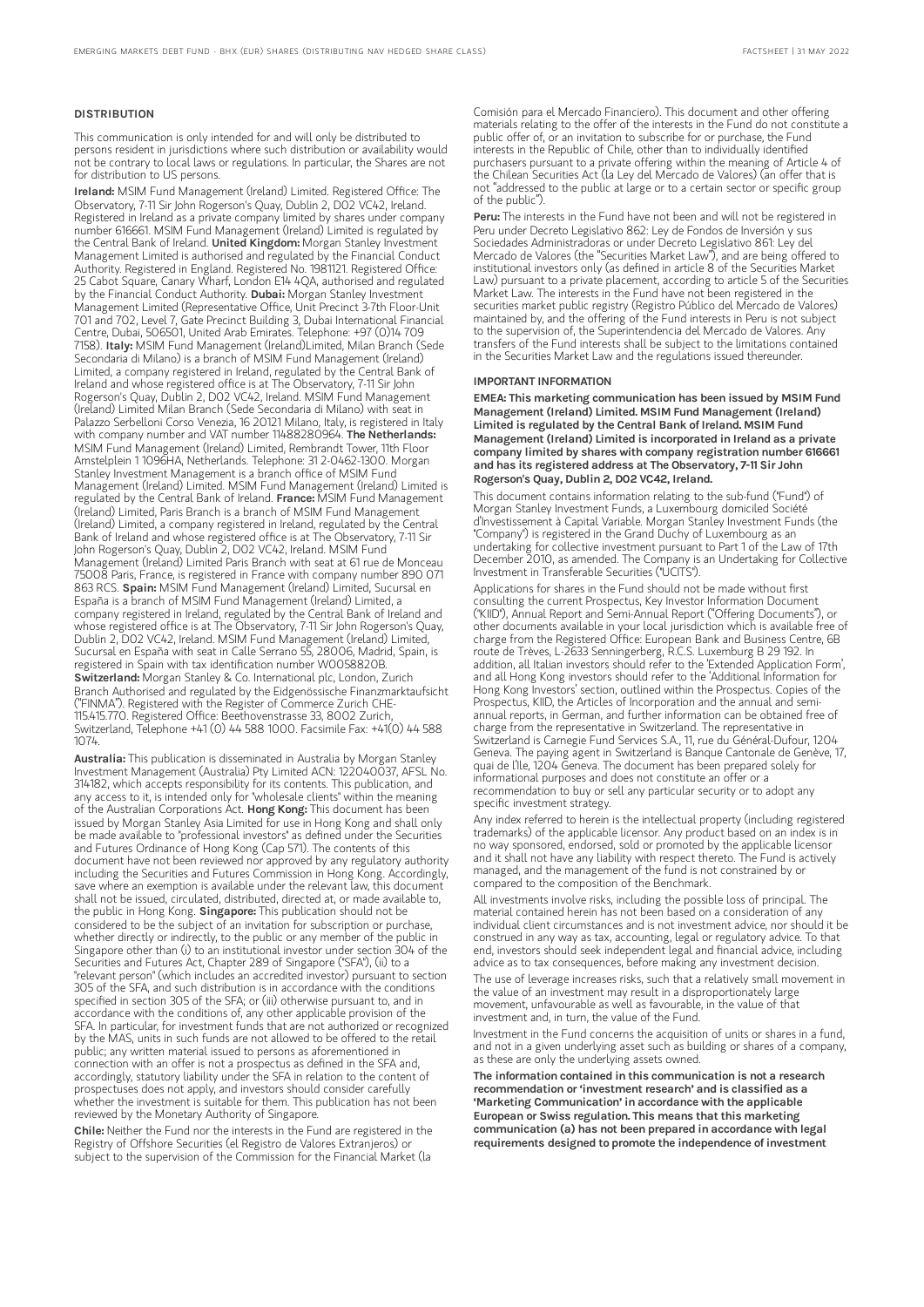#### DISTRIBUTION

This communication is only intended for and will only be distributed to persons resident in jurisdictions where such distribution or availability would not be contrary to local laws or regulations. In particular, the Shares are not for distribution to US persons.

Ireland: MSIM Fund Management (Ireland) Limited. Registered Office: The Observatory, 7-11 Sir John Rogerson's Quay, Dublin 2, D02 VC42, Ireland. Registered in Ireland as a private company limited by shares under company number 616661. MSIM Fund Management (Ireland) Limited is regulated by the Central Bank of Ireland. United Kingdom: Morgan Stanley Investment Management Limited is authorised and regulated by the Financial Conduct Authority. Registered in England. Registered No. 1981121. Registered Office: 25 Cabot Square, Canary Wharf, London E14 4QA, authorised and regulated by the Financial Conduct Authority. Dubai: Morgan Stanley Investment Management Limited (Representative Office, Unit Precinct 3-7th Floor-Unit 701 and 702, Level 7, Gate Precinct Building 3, Dubai International Financial Centre, Dubai, 506501, United Arab Emirates. Telephone: +97 (0)14 709<br>7158). I**taly:** MSIM Fund Management (Ireland)Limited, Milan Branch (Sede Secondaria di Milano) is a branch of MSIM Fund Management (Ireland) Limited, a company registered in Ireland, regulated by the Central Bank of Ireland and whose registered office is at The Observatory, 7-11 Sir John Rogerson's Quay, Dublin 2, D02 VC42, Ireland. MSIM Fund Management (Ireland) Limited Milan Branch (Sede Secondaria di Milano) with seat in Palazzo Serbelloni Corso Venezia, 16 20121 Milano, Italy, is registered in Italy with company number and VAT number 11488280964. The Netherlands: MSIM Fund Management (Ireland) Limited, Rembrandt Tower, 11th Floor Amstelplein 1 1096HA, Netherlands. Telephone: 31 2-0462-1300. Morgan Stanley Investment Management is a branch office of MSIM Fund Management (Ireland) Limited. MSIM Fund Management (Ireland) Limited is regulated by the Central Bank of Ireland. France: MSIM Fund Management (Ireland) Limited, Paris Branch is a branch of MSIM Fund Management (Ireland) Limited, a company registered in Ireland, regulated by the Central Bank of Ireland and whose registered office is at The Observatory, 7-11 Sir John Rogerson's Quay, Dublin 2, D02 VC42, Ireland. MSIM Fund Management (Ireland) Limited Paris Branch with seat at 61 rue de Monceau 75008 Paris, France, is registered in France with company number 890 071 863 RCS. Spain: MSIM Fund Management (Ireland) Limited, Sucursal en España is a branch of MSIM Fund Management (Ireland) Limited, a company registered in Ireland, regulated by the Central Bank of Ireland and whose registered office is at The Observatory, 7-11 Sir John Rogerson's Quay, Dublin 2, D02 VC42, Ireland. MSIM Fund Management (Ireland) Limited, Sucursal en España with seat in Calle Serrano 55, 28006, Madrid, Spain, is registered in Spain with tax identification number W0058820B. Switzerland: Morgan Stanley & Co. International plc, London, Zurich Branch Authorised and regulated by the Eidgenössische Finanzmarktaufsicht ("FINMA"). Registered with the Register of Commerce Zurich CHE-115.415.770. Registered Office: Beethovenstrasse 33, 8002 Zurich, Switzerland, Telephone +41 (0) 44 588 1000. Facsimile Fax: +41(0) 44 588 1074.

Australia: This publication is disseminated in Australia by Morgan Stanley Investment Management (Australia) Pty Limited ACN: 122040037, AFSL No. 314182, which accepts responsibility for its contents. This publication, and any access to it, is intended only for "wholesale clients" within the meaning of the Australian Corporations Act. Hong Kong: This document has been issued by Morgan Stanley Asia Limited for use in Hong Kong and shall only be made available to "professional investors" as defined under the Securities and Futures Ordinance of Hong Kong (Cap 571). The contents of this document have not been reviewed nor approved by any regulatory authority including the Securities and Futures Commission in Hong Kong. Accordingly, save where an exemption is available under the relevant law, this document shall not be issued, circulated, distributed, directed at, or made available to, the public in Hong Kong. Singapore: This publication should not be considered to be the subject of an invitation for subscription or purchase, whether directly or indirectly, to the public or any member of the public in Singapore other than (i) to an institutional investor under section 304 of the Securities and Futures Act, Chapter 289 of Singapore ("SFA"), (ii) to a "relevant person" (which includes an accredited investor) pursuant to section 305 of the SFA, and such distribution is in accordance with the conditions specified in section 305 of the SFA; or (iii) otherwise pursuant to, and in accordance with the conditions of, any other applicable provision of the SFA. In particular, for investment funds that are not authorized or recognized by the MAS, units in such funds are not allowed to be offered to the retail public; any written material issued to persons as aforementioned in connection with an offer is not a prospectus as defined in the SFA and, accordingly, statutory liability under the SFA in relation to the content of prospectuses does not apply, and investors should consider carefully whether the investment is suitable for them. This publication has not been reviewed by the Monetary Authority of Singapore.

Chile: Neither the Fund nor the interests in the Fund are registered in the Registry of Offshore Securities (el Registro de Valores Extranjeros) or subject to the supervision of the Commission for the Financial Market (la

Comisión para el Mercado Financiero). This document and other offering materials relating to the offer of the interests in the Fund do not constitute a public offer of, or an invitation to subscribe for or purchase, the Fund interests in the Republic of Chile, other than to individually identified purchasers pursuant to a private offering within the meaning of Article 4 of the Chilean Securities Act (la Ley del Mercado de Valores) (an offer that is not "addressed to the public at large or to a certain sector or specific group of the public").

Peru: The interests in the Fund have not been and will not be registered in Peru under Decreto Legislativo 862: Ley de Fondos de Inversión y sus Sociedades Administradoras or under Decreto Legislativo 861: Ley del Mercado de Valores (the "Securities Market Law"), and are being offered to institutional investors only (as defined in article 8 of the Securities Market Law) pursuant to a private placement, according to article 5 of the Securities Market Law. The interests in the Fund have not been registered in the securities market public registry (Registro Público del Mercado de Valores) maintained by, and the offering of the Fund interests in Peru is not subject to the supervision of, the Superintendencia del Mercado de Valores. Any transfers of the Fund interests shall be subject to the limitations contained in the Securities Market Law and the regulations issued thereunder.

#### IMPORTANT INFORMATION

EMEA: This marketing communication has been issued by MSIM Fund Management (Ireland) Limited. MSIM Fund Management (Ireland) Limited is regulated by the Central Bank of Ireland. MSIM Fund Management (Ireland) Limited is incorporated in Ireland as a private company limited by shares with company registration number 616661 and has its registered address at The Observatory, 7-11 Sir John Rogerson's Quay, Dublin 2, D02 VC42, Ireland.

This document contains information relating to the sub-fund ("Fund") of Morgan Stanley Investment Funds, a Luxembourg domiciled Société d'Investissement à Capital Variable. Morgan Stanley Investment Funds (the "Company") is registered in the Grand Duchy of Luxembourg as an undertaking for collective investment pursuant to Part 1 of the Law of 17th December 2010, as amended. The Company is an Undertaking for Collective Investment in Transferable Securities ("UCITS").

Applications for shares in the Fund should not be made without first consulting the current Prospectus, Key Investor Information Document ("KIID"), Annual Report and Semi-Annual Report ("Offering Documents"), or other documents available in your local jurisdiction which is available free of charge from the Registered Office: European Bank and Business Centre, 6B route de Trèves, L-2633 Senningerberg, R.C.S. Luxemburg B 29 192. In addition, all Italian investors should refer to the 'Extended Application Form', and all Hong Kong investors should refer to the 'Additional Information for Hong Kong Investors' section, outlined within the Prospectus. Copies of the Prospectus, KIID, the Articles of Incorporation and the annual and semiannual reports, in German, and further information can be obtained free of charge from the representative in Switzerland. The representative in Switzerland is Carnegie Fund Services S.A., 11, rue du Général-Dufour, 1204 Geneva. The paying agent in Switzerland is Banque Cantonale de Genève, 17, quai de l'Ile, 1204 Geneva. The document has been prepared solely for informational purposes and does not constitute an offer or a recommendation to buy or sell any particular security or to adopt any specific investment strategy.

Any index referred to herein is the intellectual property (including registered trademarks) of the applicable licensor. Any product based on an index is in no way sponsored, endorsed, sold or promoted by the applicable licensor and it shall not have any liability with respect thereto. The Fund is actively managed, and the management of the fund is not constrained by or compared to the composition of the Benchmark.

All investments involve risks, including the possible loss of principal. The material contained herein has not been based on a consideration of any individual client circumstances and is not investment advice, nor should it be construed in any way as tax, accounting, legal or regulatory advice. To that end, investors should seek independent legal and financial advice, including advice as to tax consequences, before making any investment decision.

The use of leverage increases risks, such that a relatively small movement in the value of an investment may result in a disproportionately large movement, unfavourable as well as favourable, in the value of that investment and, in turn, the value of the Fund.

Investment in the Fund concerns the acquisition of units or shares in a fund, and not in a given underlying asset such as building or shares of a company, as these are only the underlying assets owned.

The information contained in this communication is not a research recommendation or 'investment research' and is classified as a 'Marketing Communication' in accordance with the applicable European or Swiss regulation. This means that this marketing communication (a) has not been prepared in accordance with legal requirements designed to promote the independence of investment